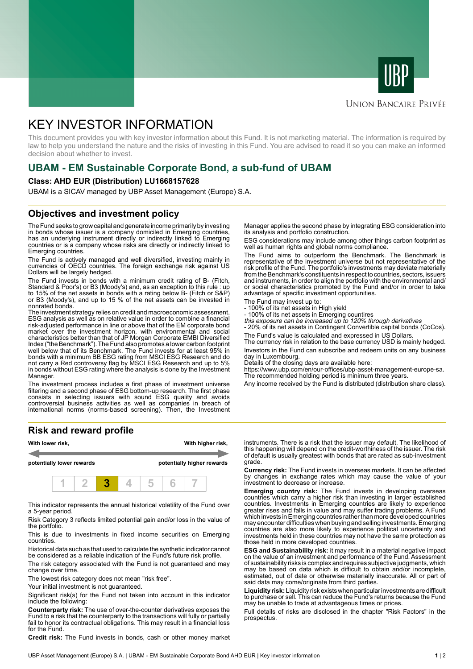



### **UNION BANCAIRE PRIVÉE**

# KEY INVESTOR INFORMATION

This document provides you with key investor information about this Fund. It is not marketing material. The information is required by law to help you understand the nature and the risks of investing in this Fund. You are advised to read it so you can make an informed decision about whether to invest.

# **UBAM - EM Sustainable Corporate Bond, a sub-fund of UBAM**

#### **Class: AHD EUR (Distribution) LU1668157628**

UBAM is a SICAV managed by UBP Asset Management (Europe) S.A.

### **Objectives and investment policy**

The Fund seeks to grow capital and generate income primarily by investing in bonds whose issuer is a company domiciled in Emerging countries, has an underlying instrument directly or indirectly linked to Emerging countries or is a company whose risks are directly or indirectly linked to Emerging countries.

The Fund is actively managed and well diversified, investing mainly in currencies of OECD countries. The foreign exchange risk against US Dollars will be largely hedged.

The Fund invests in bonds with a minimum credit rating of B- (Fitch, Standard & Poor's) or B3 (Moody's) and, as an exception to this rule : up to 15% of the net assets in bonds with a rating below B- (Fitch or S&P) or B3 (Moody's), and up to 15 % of the net assets can be invested in nonrated bonds.

The investment strategy relies on credit and macroeconomic assessment, ESG analysis as well as on relative value in order to combine a financial risk-adjusted performance in line or above that of the EM corporate bond market over the investment horizon, with environmental and social characteristics better than that of JP Morgan Corporate EMBI Diversified Index ("the Benchmark"). The Fund also promotes a lower carbon footprint well below that of its Benchmark. The Fund invests for at least 95% in bonds with a minimum BB ESG rating from MSCI ESG Research and do not carry a Red controversy flag by MSCI ESG Research and up to 5% in bonds without ESG rating where the analysis is done by the Investment Manager.

The investment process includes a first phase of investment universe filtering and a second phase of ESG bottom-up research. The first phase consists in selecting issuers with sound ESG quality and avoids controversial business activities as well as companies in breach of international norms (norms-based screening). Then, the Investment

#### **Risk and reward profile**



This indicator represents the annual historical volatility of the Fund over a 5-year period.

Risk Category 3 reflects limited potential gain and/or loss in the value of the portfolio.

This is due to investments in fixed income securities on Emerging countries.

Historical data such as that used to calculate the synthetic indicator cannot be considered as a reliable indication of the Fund's future risk profile.

The risk category associated with the Fund is not guaranteed and may change over time.

The lowest risk category does not mean "risk free".

Your initial investment is not guaranteed.

Significant risk(s) for the Fund not taken into account in this indicator include the following:

**Counterparty risk:** The use of over-the-counter derivatives exposes the Fund to a risk that the counterparty to the transactions will fully or partially fail to honor its contractual obligations. This may result in a financial loss for the Fund.

**Credit risk:** The Fund invests in bonds, cash or other money market

Manager applies the second phase by integrating ESG consideration into its analysis and portfolio construction.

ESG considerations may include among other things carbon footprint as well as human rights and global norms compliance.

The Fund aims to outperform the Benchmark. The Benchmark is representative of the investment universe but not representative of the risk profile of the Fund. The portfolio's investments may deviate materially from the Benchmark's constituents in respect to countries, sectors, issuers and instruments, in order to align the portfolio with the environmental and/ or social characteristics promoted by the Fund and/or in order to take advantage of specific investment opportunities.

The Fund may invest up to:

- 100% of its net assets in High yield
- 100% of its net assets in Emerging countires this exposure can be increased up to 120% through derivatives

- 20% of its net assets in Contingent Convertible capital bonds (CoCos). The Fund's value is calculated and expressed in US Dollars.

The currency risk in relation to the base currency USD is mainly hedged. Investors in the Fund can subscribe and redeem units on any business day in Luxembourg.

Details of the closing days are available here:

https://www.ubp.com/en/our-offices/ubp-asset-management-europe-sa. The recommended holding period is minimum three years.

Any income received by the Fund is distributed (distribution share class).

instruments. There is a risk that the issuer may default. The likelihood of this happening will depend on the credit-worthiness of the issuer. The risk of default is usually greatest with bonds that are rated as sub-investment grade.

**Currency risk:** The Fund invests in overseas markets. It can be affected by changes in exchange rates which may cause the value of your investment to decrease or increase.

**Emerging country risk:** The Fund invests in developing overseas countries which carry a higher risk than investing in larger established countries. Investments in Emerging countries are likely to experience greater rises and falls in value and may suffer trading problems. A Fund which invests in Emerging countries rather than more developed countries may encounter difficulties when buying and selling investments. Emerging countries are also more likely to experience political uncertainty and investments held in these countries may not have the same protection as those held in more developed countries.

**ESG and Sustainability risk:** it may result in a material negative impact on the value of an investment and performance of the Fund. Assessment of sustainability risks is complex and requires subjective judgments, which may be based on data which is difficult to obtain and/or incomplete, estimated, out of date or otherwise materially inaccurate. All or part of said data may come/originate from third parties.

**Liquidity risk:** Liquidity risk exists when particular investments are difficult to purchase or sell. This can reduce the Fund's returns because the Fund may be unable to trade at advantageous times or prices.

Full details of risks are disclosed in the chapter "Risk Factors" in the prospectus.